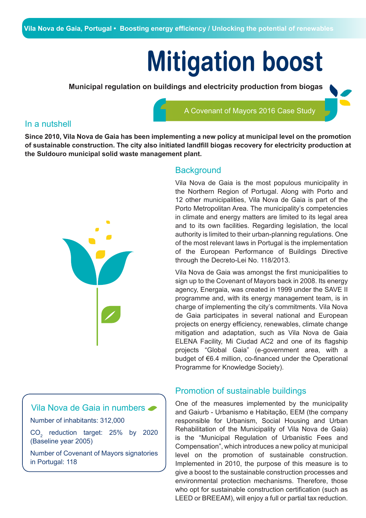# **Mitigation boost**

A Covenant of Mayors 2016 Case Study

**Municipal regulation on buildings and electricity production from biogas** 

### In a nutshell

**Since 2010, Vila Nova de Gaia has been implementing a new policy at municipal level on the promotion of sustainable construction. The city also initiated landfill biogas recovery for electricity production at the Suldouro municipal solid waste management plant.**



# **Background**

Vila Nova de Gaia is the most populous municipality in the Northern Region of Portugal. Along with Porto and 12 other municipalities, Vila Nova de Gaia is part of the Porto Metropolitan Area. The municipality's competencies in climate and energy matters are limited to its legal area and to its own facilities. Regarding legislation, the local authority is limited to their urban-planning regulations. One of the most relevant laws in Portugal is the implementation of the European Performance of Buildings Directive through the Decreto-Lei No. 118/2013.

Vila Nova de Gaia was amongst the first municipalities to sign up to the Covenant of Mayors back in 2008. Its energy agency, Energaia, was created in 1999 under the SAVE II programme and, with its energy management team, is in charge of implementing the city's commitments. Vila Nova de Gaia participates in several national and European projects on energy efficiency, renewables, climate change mitigation and adaptation, such as Vila Nova de Gaia ELENA Facility, Mi Ciudad AC2 and one of its flagship projects "Global Gaia" (e-government area, with a budget of €6.4 million, co-financed under the Operational Programme for Knowledge Society).

One of the measures implemented by the municipality and Gaiurb - Urbanismo e Habitação, EEM (the company responsible for Urbanism, Social Housing and Urban Rehabilitation of the Municipality of Vila Nova de Gaia) is the "Municipal Regulation of Urbanistic Fees and Compensation", which introduces a new policy at municipal level on the promotion of sustainable construction. Implemented in 2010, the purpose of this measure is to give a boost to the sustainable construction processes and environmental protection mechanisms. Therefore, those who opt for sustainable construction certification (such as LEED or BREEAM), will enjoy a full or partial tax reduction.

Promotion of sustainable buildings



Number of inhabitants: 312,000

 $CO<sub>2</sub>$  reduction target: 25% by 2020 (Baseline year 2005)

Number of Covenant of Mayors signatories in Portugal: 118